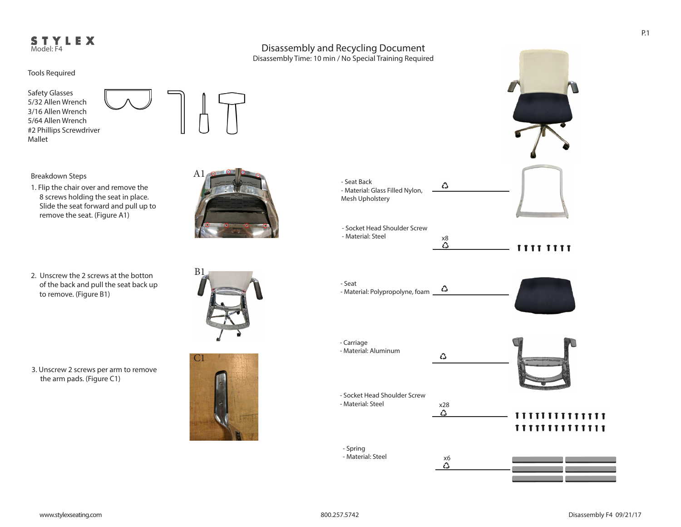## STYLEX Model: F4

Tools Required

Safety Glasses 5/32 Allen Wrench 3/16 Allen Wrench 5/64 Allen Wrench #2 Phillips Screwdriver Mallet



A1

Breakdown Steps

- 1. Flip the chair over and remove the 8 screws holding the seat in place. Slide the seat forward and pull up to remove the seat. (Figure A1)
- 2. Unscrew the 2 screws at the botton of the back and pull the seat back up to remove. (Figure B1)



3. Unscrew 2 screws per arm to remove the arm pads. (Figure C1)





P.1